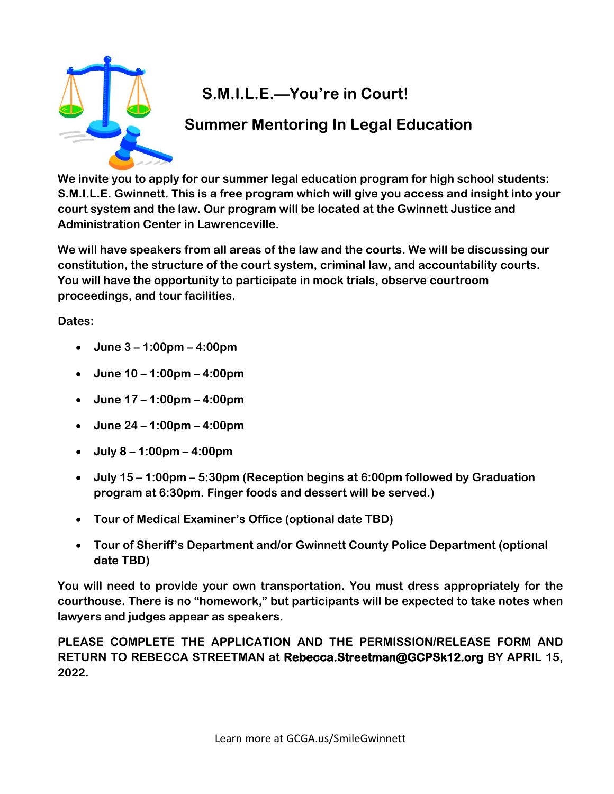

# **S.M.I.L.E.—You're in Court!**

## **Summer Mentoring In Legal Education**

**We invite you to apply for our summer legal education program for high school students: S.M.I.L.E. Gwinnett. This is a free program which will give you access and insight into your court system and the law. Our program will be located at the Gwinnett Justice and Administration Center in Lawrenceville.**

**We will have speakers from all areas of the law and the courts. We will be discussing our constitution, the structure of the court system, criminal law, and accountability courts. You will have the opportunity to participate in mock trials, observe courtroom proceedings, and tour facilities.**

**Dates:** 

- **June 3 – 1:00pm – 4:00pm**
- **June 10 – 1:00pm – 4:00pm**
- **June 17 – 1:00pm – 4:00pm**
- **June 24 – 1:00pm – 4:00pm**
- **July 8 – 1:00pm – 4:00pm**
- **July 15 – 1:00pm – 5:30pm (Reception begins at 6:00pm followed by Graduation program at 6:30pm. Finger foods and dessert will be served.)**
- **Tour of Medical Examiner's Office (optional date TBD)**
- **Tour of Sheriff's Department and/or Gwinnett County Police Department (optional date TBD)**

**You will need to provide your own transportation. You must dress appropriately for the courthouse. There is no "homework," but participants will be expected to take notes when lawyers and judges appear as speakers.** 

**PLEASE COMPLETE THE APPLICATION AND THE PERMISSION/RELEASE FORM AND RETURN TO REBECCA STREETMAN at Rebecca.Streetman@GCPSk12.org BY APRIL 15, 2022.**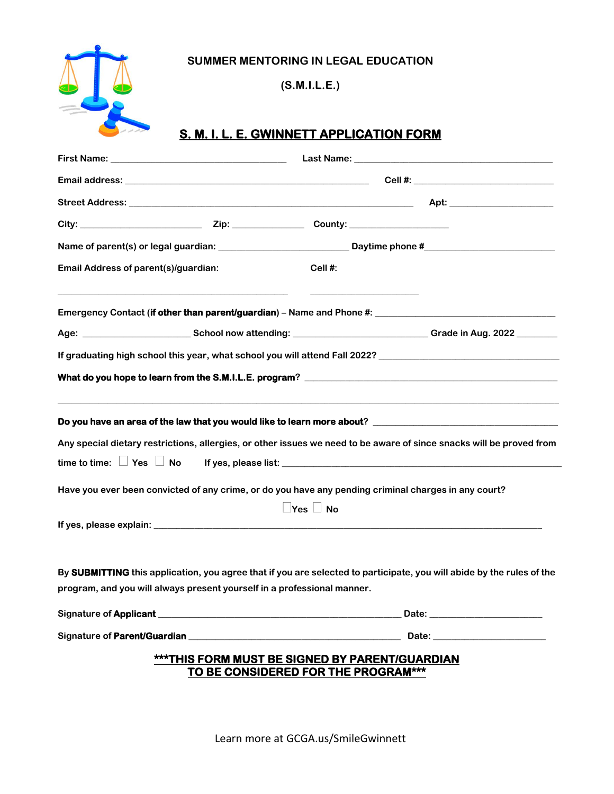

**(S.M.I.L.E.)**

### **S. M. I. L. E. GWINNETT APPLICATION FORM**

| Email Address of parent(s)/guardian: |                                                                         | Cell#:                              |                                                                                                                                                                                                                                |  |
|--------------------------------------|-------------------------------------------------------------------------|-------------------------------------|--------------------------------------------------------------------------------------------------------------------------------------------------------------------------------------------------------------------------------|--|
|                                      |                                                                         |                                     |                                                                                                                                                                                                                                |  |
|                                      |                                                                         |                                     | Age: ___________________________School now attending: _________________________________Grade in Aug. 2022 ________                                                                                                             |  |
|                                      |                                                                         |                                     | If graduating high school this year, what school you will attend Fall 2022? [10] The manuscription of the school this year, what school you will attend Fall 2022? [10] The manuscription of the state of the state of the sta |  |
|                                      |                                                                         |                                     |                                                                                                                                                                                                                                |  |
|                                      |                                                                         |                                     |                                                                                                                                                                                                                                |  |
|                                      |                                                                         |                                     | Any special dietary restrictions, allergies, or other issues we need to be aware of since snacks will be proved from                                                                                                           |  |
|                                      |                                                                         |                                     |                                                                                                                                                                                                                                |  |
|                                      |                                                                         |                                     | Have you ever been convicted of any crime, or do you have any pending criminal charges in any court?                                                                                                                           |  |
|                                      |                                                                         | $\Box$ Yes $\Box$ No                |                                                                                                                                                                                                                                |  |
|                                      |                                                                         |                                     |                                                                                                                                                                                                                                |  |
|                                      | program, and you will always present yourself in a professional manner. |                                     | By SUBMITTING this application, you agree that if you are selected to participate, you will abide by the rules of the                                                                                                          |  |
|                                      |                                                                         |                                     |                                                                                                                                                                                                                                |  |
|                                      |                                                                         |                                     |                                                                                                                                                                                                                                |  |
|                                      | <b>***THIS FORM MUST BE SIGNED BY PARENT/GUARDIAN</b>                   | TO BE CONSIDERED FOR THE PROGRAM*** |                                                                                                                                                                                                                                |  |

Learn more at GCGA.us/SmileGwinnett